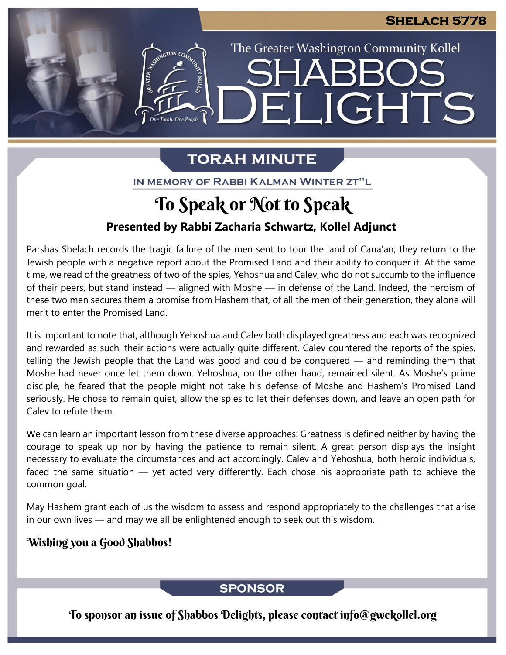The Greater Washington Community Kollel

ELIGHTS

# **TORAH MINUTE**

IN MEMORY OF RABBI KALMAN WINTER ZT"L

# To Speak or Not to Speak

## **Presented by Rabbi Zacharia Schwartz, Kollel Adjunct**

Parshas Shelach records the tragic failure of the men sent to tour the land of Cana'an; they return to the Jewish people with a negative report about the Promised Land and their ability to conquer it. At the same time, we read of the greatness of two of the spies, Yehoshua and Calev, who do not succumb to the influence of their peers, but stand instead — aligned with Moshe — in defense of the Land. Indeed, the heroism of these two men secures them a promise from Hashem that, of all the men of their generation, they alone will merit to enter the Promised Land.

It is important to note that, although Yehoshua and Calev both displayed greatness and each was recognized and rewarded as such, their actions were actually quite different. Calev countered the reports of the spies, telling the Jewish people that the Land was good and could be conquered — and reminding them that Moshe had never once let them down. Yehoshua, on the other hand, remained silent. As Moshe's prime disciple, he feared that the people might not take his defense of Moshe and Hashem's Promised Land seriously. He chose to remain quiet, allow the spies to let their defenses down, and leave an open path for Calev to refute them.

We can learn an important lesson from these diverse approaches: Greatness is defined neither by having the courage to speak up nor by having the patience to remain silent. A great person displays the insight necessary to evaluate the circumstances and act accordingly. Calev and Yehoshua, both heroic individuals, faced the same situation — yet acted very differently. Each chose his appropriate path to achieve the common goal.

May Hashem grant each of us the wisdom to assess and respond appropriately to the challenges that arise in our own lives — and may we all be enlightened enough to seek out this wisdom.

### Wishing you a Good Shabbos!

## **SPONSOR**

To sponsor an issue of Shabbos Delights, please contact info@gwckollel.org